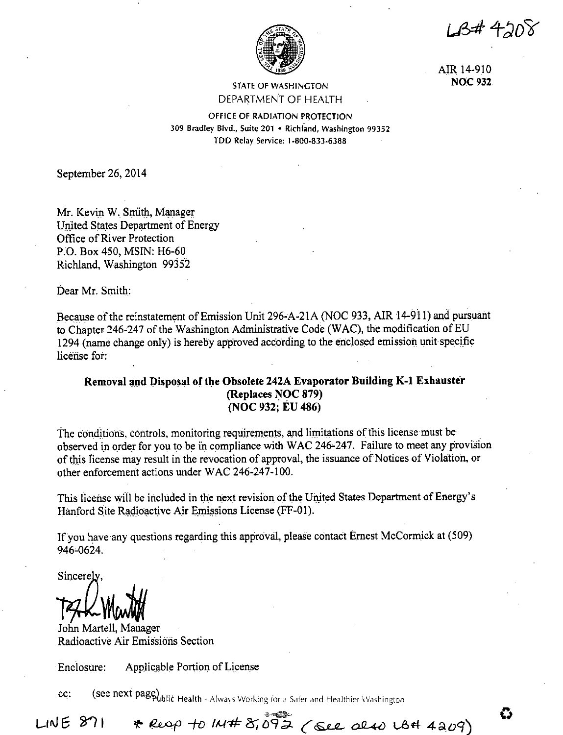LB#4208



AIR 14-910 **NOC932** 

### STATE OF WASHINGTON DEPARTMENT OF HEALTH

OFFICE OF RADIATION PROTECTION 309 Bradley Blvd., Suite 201 • Richland, Washington 99352 TDD Relay Service: 1-800-833-6388

September 26, 2014

Mr. Kevin W. Smith, Manager United States Department of Energy Office of River Protection P.O. Box 450, MSIN: H6-60 Richland, Washington 99352

Dear Mr. Smith:

Because of the reinstatement of Emission Unit 296-A-21A (NOC 933, AIR 14-911) and pursuant to Chapter 246-247 of the Washington Administrative Code (WAC), the modification of EU 1294 (name change only) is hereby approved according to the enclosed emission unit specific license for:

# Removal and Disposal of the Obsolete 242A Evaporator Building K-1 Exhauster **(Replaces NOC 879) (NOC 932; EU 486)**

The conditions, controls, monitoring requirements, and limitations of this license must be observed in order for you to be in compliance with WAC 246-247. Failure to meet any provision of this ficense may result in the revocation of approval, the issuance of Notices of Violation, or other enforcement actions under WAC 246-247-100.

This license will be included in the next revision of the United States Department of Energy's Hanford Site Radioactive Air Emissions License (FF-01).

Ifyou have·any questions regarding this approval, please contact Ernest McCormick at (509) 946-0624.

Sincerely

*;;p\_wJK* 

John Martell, Mariager Radioactive Air Emissions Section

Enclosure: Applicable Portion of License

cc: **(see next page)**<br>**(see next page)** Health - Always Working for a Safer and Healthier Washington

\* Reop to IN#  $8,092$  (see also US# 4209)  $LINE 871$ 

**0**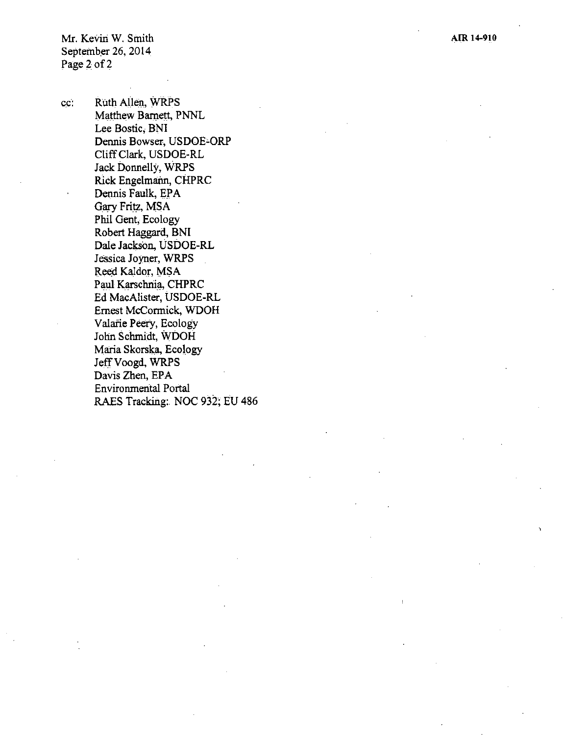cc: Ruth Allen, WRPS Matthew Barnett, PNNL Lee Bostic; BNI Dennis Bowser, USDOE-ORP Cliff Clark, USDOE-RL Jack Donnelly, WRPS Rick Engelmann, CHPRC Dennis Faulk, EPA *Gary* Fritz, MSA Phil Gent, Ecology Robert Haggard, BNI Dale Jackson, USDOE-RL Jessica Joyner, WRPS Reed Kaldor, MSA Paul Karschni\_a, CHPRC Ed MacAlister, USDOE-RL Ernest McCormick, WDOH Valarie Peery, Ecology Jolin Schmidt, WDOH Maria Skorska, Ecology JetfVoogd, **WRPS**  Davis Zhen, EPA Environmental Portal RAES Tracking:. NOC 932; EU 486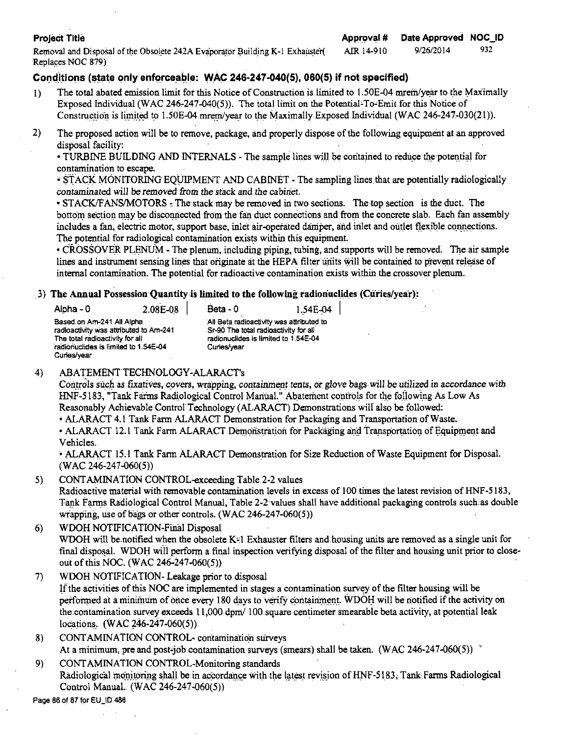Removal and Disposal of the Obsolete 242A Evaporator Building K-1 Exhauster( AIR 14-910 9/26/2014 932 Replaces NOC 879)

# Conditions (state only enforceable: WAC 246-247-040(5), 060(5) if not specified)

- I) The total abated emission limit for this Notice of Construction is limited to 1.50E-04 mrem/year to the Maximally Exposed Individual (WAC 246-247-040(5)). The total limit on the Potential-To-Emit for this Notice of Construction is limited to  $1.50E-04$  mrem/year to the Maximally Exposed Individual (WAC 246-247-030(21)).
- 2) The proposed action will be to remove, package, and properly dispose of the following equipment at an approved disposal facility:

• TURBINE BUILDING AND INTERNALS - The sample lines will be contained to reduce the potential for contamination to escape.

• STACK MONITORING EQUIPMENT AND CABINET - The sampling lines that are potentially radiologically contaminated will be removed from the stack and the cabinet.

• STACK/FANS/MOTORS: The stack may be removed in two sections. The top section is the duct. The bottom section may be disconnected from the fan duct connections and from the concrete slab. Each fan assembly includes a fan, electric motor, support base, inlet air-operated damper, and inlet and outlet flexible connections. The potential for radiological contamination exists within this equipment.

• CROSSOVER PLENUM - The plenum, including piping, tubing, and supports will be removed. The air sample lines and instrument sensing lines that originate at the HEPA filter units will be contained to prevent release of internal contamination. The potential for radioactive contamination exists within the crossover plenum.

## 3) **The Annual Possession Quantity-is limited to the following radioriuclides (Curies/yea'r)::**

| Alpha - 0                                                                                                                                                     | 2.08E-08 | Beta - $0$                                                                                   | 1.54E-04                                 |
|---------------------------------------------------------------------------------------------------------------------------------------------------------------|----------|----------------------------------------------------------------------------------------------|------------------------------------------|
| Based on Am-241 All Alpha<br>radioactivity was attributed to Am-241<br>The total radioactivity for all<br>radionuclides is limited to 1.54E-04<br>Curies/year |          | Sr-90 The total radioactivity for all<br>radionuclides is limited to 1.54E-04<br>Curies/year | All Beta radioactivity was attributed to |

# 4) ABATEMENTTECHNOLOGY-ALARACT's

Controls such as fixatives, covers, wrapping, containment tents, or glove bags will be utilized in accordance with HNF-5183, "Tank Farms Radiological Control Manual." Abatement controls for the following As Low As Reasonably Achievable Control Technology (ALARACT) Demonstrations wilf also be followed:

• ALARACT 4.1 Tank Farm ALARACT Demonstration for Packaging and Transportation of Waste.

• ALARACT 12.1 Tank Farm ALARACT Demonstration for Packaging and Transportation of Equipment and Vehicles.

• ALARACT 15.1 Tank Farm ALARACT Demonstration for Size Reduction of Waste Equipment for Disposal.  $(WAC 246-247-060(5))$ 

5) CONTAMINATION CONTROL-exceeding Table 2-2 values

Radioactive material with removable contamination levels in excess of 100 times the latest revision of HNF-5183, Tank Farms Radiological Control Manual, Table 2-2 values shall have additional packaging controls such as double wrapping, use of bags or other controls. (WAC 246-247-060(5))

# 6) WDOH NOTIFICATION-Final Disposal WDOH will be notified when the obsolete K-1 Exhauster filters and housing units are removed as a single unit for final disposal. WDOH will perform a final inspection verifying disposal of the filter and housing unit prior to closeout of this NOC. (WAC 246-247-060(5))

- 7) WDOH NOTIFICATION- Leakage prior to disposal If the activities of this NOC are implemented in stages a contamination survey of the filter housing will be performed at a minimum of once every 180 days to verify containment. WDOH will be notified if the activity on the contamination survey exceeds 11,000 dpm/ 100 square centimeter smearable beta activity, at potential leak locations.  $(WAC 246-247-060(5))$
- 8) CONTAMINATION CONTROL- contamination surveys At a minimum, pre and post-job contamination surveys (smears) shall be taken. (WAC 246-247-060(5))  $^{\circ}$
- 9) CONTAMINATION CONTROL-Monitoring standards Radiological monitoring shall be in accordance with the latest revision of HNF-5183, Tank. Farms Radiological Control Manual.. (WAC 246-247-060(5))